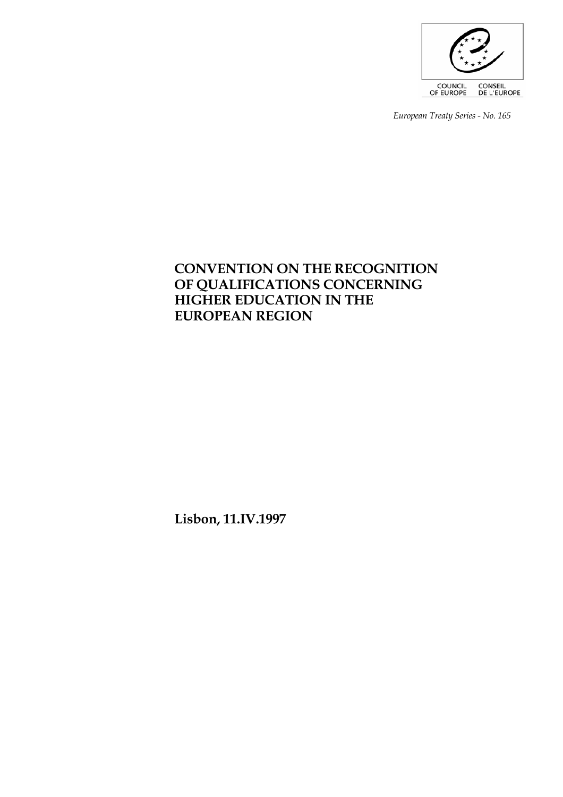

*European Treaty Series - No. 165* 

# **CONVENTION ON THE RECOGNITION OF QUALIFICATIONS CONCERNING HIGHER EDUCATION IN THE EUROPEAN REGION**

**Lisbon, 11.IV.1997**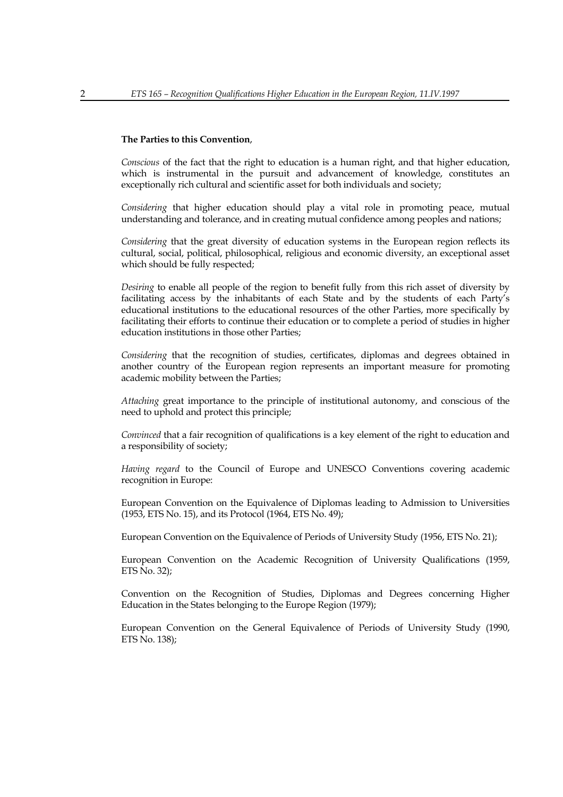### **The Parties to this Convention**,

 *Conscious* of the fact that the right to education is a human right, and that higher education, which is instrumental in the pursuit and advancement of knowledge, constitutes an exceptionally rich cultural and scientific asset for both individuals and society;

 *Considering* that higher education should play a vital role in promoting peace, mutual understanding and tolerance, and in creating mutual confidence among peoples and nations;

 *Considering* that the great diversity of education systems in the European region reflects its cultural, social, political, philosophical, religious and economic diversity, an exceptional asset which should be fully respected;

 *Desiring* to enable all people of the region to benefit fully from this rich asset of diversity by facilitating access by the inhabitants of each State and by the students of each Party's educational institutions to the educational resources of the other Parties, more specifically by facilitating their efforts to continue their education or to complete a period of studies in higher education institutions in those other Parties;

 *Considering* that the recognition of studies, certificates, diplomas and degrees obtained in another country of the European region represents an important measure for promoting academic mobility between the Parties;

 *Attaching* great importance to the principle of institutional autonomy, and conscious of the need to uphold and protect this principle;

 *Convinced* that a fair recognition of qualifications is a key element of the right to education and a responsibility of society;

 *Having regard* to the Council of Europe and UNESCO Conventions covering academic recognition in Europe:

 European Convention on the Equivalence of Diplomas leading to Admission to Universities (1953, ETS No. 15), and its Protocol (1964, ETS No. 49);

European Convention on the Equivalence of Periods of University Study (1956, ETS No. 21);

 European Convention on the Academic Recognition of University Qualifications (1959, ETS No. 32);

 Convention on the Recognition of Studies, Diplomas and Degrees concerning Higher Education in the States belonging to the Europe Region (1979);

 European Convention on the General Equivalence of Periods of University Study (1990, ETS No. 138);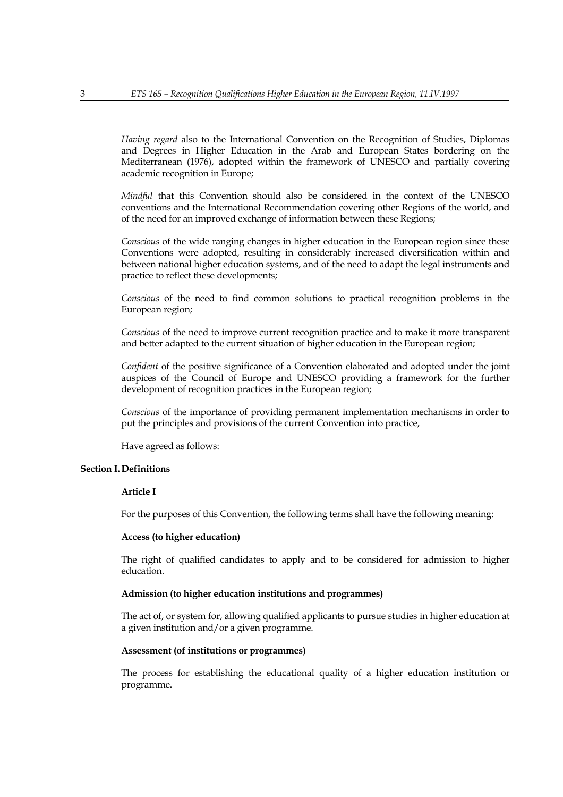*Having regard* also to the International Convention on the Recognition of Studies, Diplomas and Degrees in Higher Education in the Arab and European States bordering on the Mediterranean (1976), adopted within the framework of UNESCO and partially covering academic recognition in Europe;

 *Mindful* that this Convention should also be considered in the context of the UNESCO conventions and the International Recommendation covering other Regions of the world, and of the need for an improved exchange of information between these Regions;

 *Conscious* of the wide ranging changes in higher education in the European region since these Conventions were adopted, resulting in considerably increased diversification within and between national higher education systems, and of the need to adapt the legal instruments and practice to reflect these developments;

 *Conscious* of the need to find common solutions to practical recognition problems in the European region;

 *Conscious* of the need to improve current recognition practice and to make it more transparent and better adapted to the current situation of higher education in the European region;

 *Confident* of the positive significance of a Convention elaborated and adopted under the joint auspices of the Council of Europe and UNESCO providing a framework for the further development of recognition practices in the European region;

 *Conscious* of the importance of providing permanent implementation mechanisms in order to put the principles and provisions of the current Convention into practice,

Have agreed as follows:

# **Section I. Definitions**

### **Article I**

For the purposes of this Convention, the following terms shall have the following meaning:

### **Access (to higher education)**

 The right of qualified candidates to apply and to be considered for admission to higher education.

#### **Admission (to higher education institutions and programmes)**

 The act of, or system for, allowing qualified applicants to pursue studies in higher education at a given institution and/or a given programme.

#### **Assessment (of institutions or programmes)**

 The process for establishing the educational quality of a higher education institution or programme.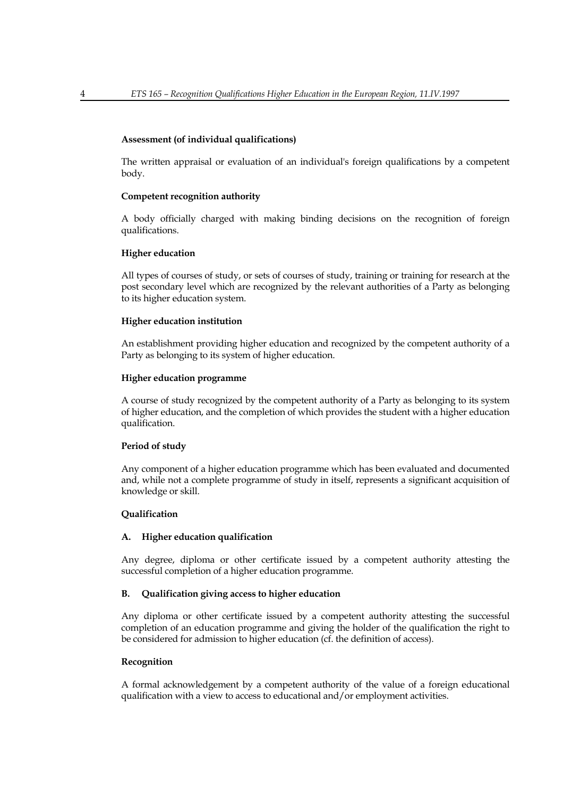# **Assessment (of individual qualifications)**

 The written appraisal or evaluation of an individual's foreign qualifications by a competent body.

### **Competent recognition authority**

 A body officially charged with making binding decisions on the recognition of foreign qualifications.

# **Higher education**

 All types of courses of study, or sets of courses of study, training or training for research at the post secondary level which are recognized by the relevant authorities of a Party as belonging to its higher education system.

### **Higher education institution**

 An establishment providing higher education and recognized by the competent authority of a Party as belonging to its system of higher education.

### **Higher education programme**

 A course of study recognized by the competent authority of a Party as belonging to its system of higher education, and the completion of which provides the student with a higher education qualification.

### **Period of study**

 Any component of a higher education programme which has been evaluated and documented and, while not a complete programme of study in itself, represents a significant acquisition of knowledge or skill.

### **Qualification**

### **A. Higher education qualification**

 Any degree, diploma or other certificate issued by a competent authority attesting the successful completion of a higher education programme.

### **B. Qualification giving access to higher education**

 Any diploma or other certificate issued by a competent authority attesting the successful completion of an education programme and giving the holder of the qualification the right to be considered for admission to higher education (cf. the definition of access).

### **Recognition**

 A formal acknowledgement by a competent authority of the value of a foreign educational qualification with a view to access to educational and/or employment activities.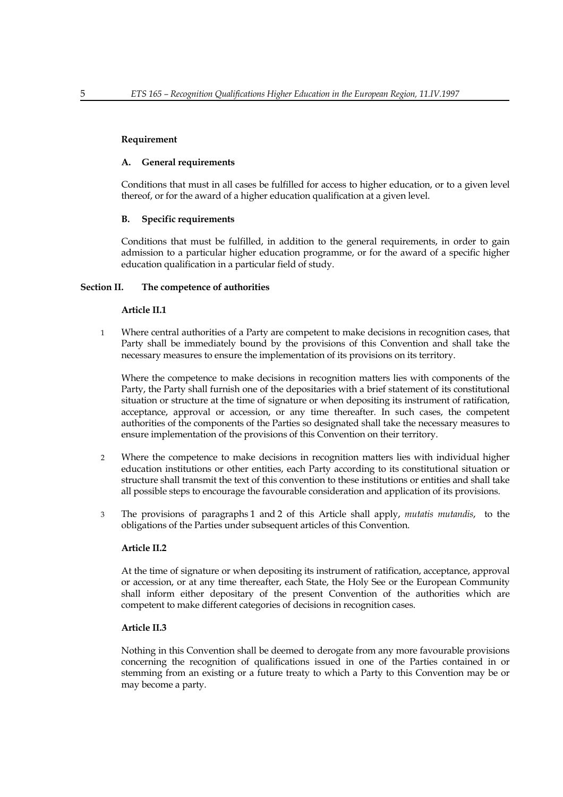# **Requirement**

# **A. General requirements**

 Conditions that must in all cases be fulfilled for access to higher education, or to a given level thereof, or for the award of a higher education qualification at a given level.

### **B. Specific requirements**

 Conditions that must be fulfilled, in addition to the general requirements, in order to gain admission to a particular higher education programme, or for the award of a specific higher education qualification in a particular field of study.

# **Section II. The competence of authorities**

# **Article II.1**

 1 Where central authorities of a Party are competent to make decisions in recognition cases, that Party shall be immediately bound by the provisions of this Convention and shall take the necessary measures to ensure the implementation of its provisions on its territory.

 Where the competence to make decisions in recognition matters lies with components of the Party, the Party shall furnish one of the depositaries with a brief statement of its constitutional situation or structure at the time of signature or when depositing its instrument of ratification, acceptance, approval or accession, or any time thereafter. In such cases, the competent authorities of the components of the Parties so designated shall take the necessary measures to ensure implementation of the provisions of this Convention on their territory.

- 2 Where the competence to make decisions in recognition matters lies with individual higher education institutions or other entities, each Party according to its constitutional situation or structure shall transmit the text of this convention to these institutions or entities and shall take all possible steps to encourage the favourable consideration and application of its provisions.
- 3 The provisions of paragraphs 1 and 2 of this Article shall apply, *mutatis mutandis*, to the obligations of the Parties under subsequent articles of this Convention.

### **Article II.2**

 At the time of signature or when depositing its instrument of ratification, acceptance, approval or accession, or at any time thereafter, each State, the Holy See or the European Community shall inform either depositary of the present Convention of the authorities which are competent to make different categories of decisions in recognition cases.

# **Article II.3**

 Nothing in this Convention shall be deemed to derogate from any more favourable provisions concerning the recognition of qualifications issued in one of the Parties contained in or stemming from an existing or a future treaty to which a Party to this Convention may be or may become a party.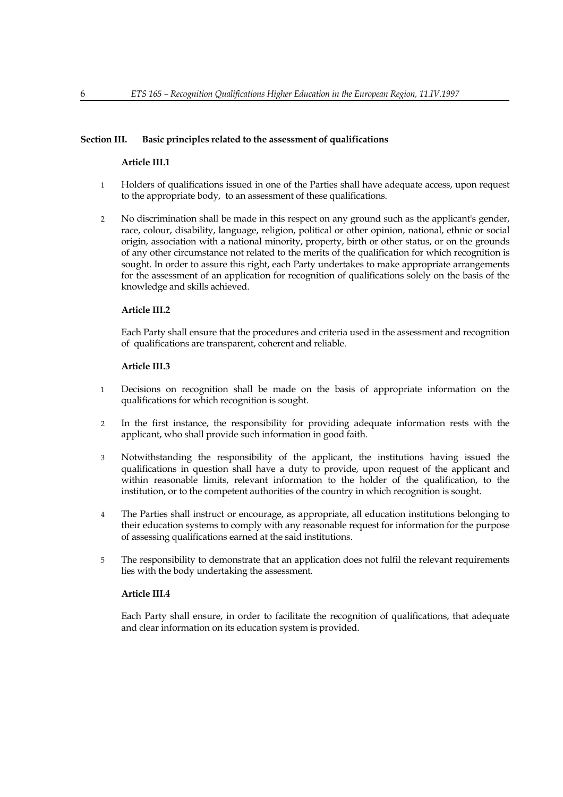# **Section III. Basic principles related to the assessment of qualifications**

# **Article III.1**

- 1 Holders of qualifications issued in one of the Parties shall have adequate access, upon request to the appropriate body, to an assessment of these qualifications.
- 2 No discrimination shall be made in this respect on any ground such as the applicant's gender, race, colour, disability, language, religion, political or other opinion, national, ethnic or social origin, association with a national minority, property, birth or other status, or on the grounds of any other circumstance not related to the merits of the qualification for which recognition is sought. In order to assure this right, each Party undertakes to make appropriate arrangements for the assessment of an application for recognition of qualifications solely on the basis of the knowledge and skills achieved.

# **Article III.2**

 Each Party shall ensure that the procedures and criteria used in the assessment and recognition of qualifications are transparent, coherent and reliable.

### **Article III.3**

- 1 Decisions on recognition shall be made on the basis of appropriate information on the qualifications for which recognition is sought.
- 2 In the first instance, the responsibility for providing adequate information rests with the applicant, who shall provide such information in good faith.
- 3 Notwithstanding the responsibility of the applicant, the institutions having issued the qualifications in question shall have a duty to provide, upon request of the applicant and within reasonable limits, relevant information to the holder of the qualification, to the institution, or to the competent authorities of the country in which recognition is sought.
- 4 The Parties shall instruct or encourage, as appropriate, all education institutions belonging to their education systems to comply with any reasonable request for information for the purpose of assessing qualifications earned at the said institutions.
- 5 The responsibility to demonstrate that an application does not fulfil the relevant requirements lies with the body undertaking the assessment.

### **Article III.4**

 Each Party shall ensure, in order to facilitate the recognition of qualifications, that adequate and clear information on its education system is provided.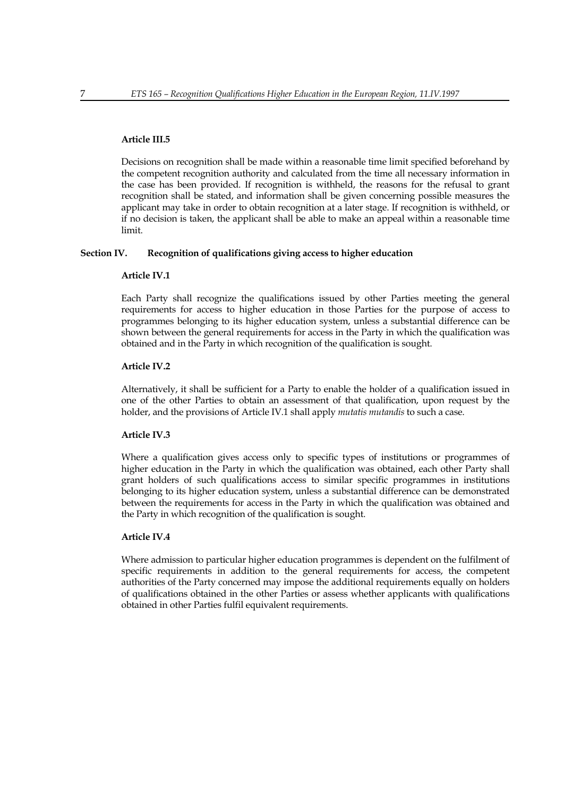### **Article III.5**

 Decisions on recognition shall be made within a reasonable time limit specified beforehand by the competent recognition authority and calculated from the time all necessary information in the case has been provided. If recognition is withheld, the reasons for the refusal to grant recognition shall be stated, and information shall be given concerning possible measures the applicant may take in order to obtain recognition at a later stage. If recognition is withheld, or if no decision is taken, the applicant shall be able to make an appeal within a reasonable time limit.

# **Section IV. Recognition of qualifications giving access to higher education**

#### **Article IV.1**

 Each Party shall recognize the qualifications issued by other Parties meeting the general requirements for access to higher education in those Parties for the purpose of access to programmes belonging to its higher education system, unless a substantial difference can be shown between the general requirements for access in the Party in which the qualification was obtained and in the Party in which recognition of the qualification is sought.

### **Article IV.2**

 Alternatively, it shall be sufficient for a Party to enable the holder of a qualification issued in one of the other Parties to obtain an assessment of that qualification, upon request by the holder, and the provisions of Article IV.1 shall apply *mutatis mutandis* to such a case.

### **Article IV.3**

 Where a qualification gives access only to specific types of institutions or programmes of higher education in the Party in which the qualification was obtained, each other Party shall grant holders of such qualifications access to similar specific programmes in institutions belonging to its higher education system, unless a substantial difference can be demonstrated between the requirements for access in the Party in which the qualification was obtained and the Party in which recognition of the qualification is sought.

# **Article IV.4**

 Where admission to particular higher education programmes is dependent on the fulfilment of specific requirements in addition to the general requirements for access, the competent authorities of the Party concerned may impose the additional requirements equally on holders of qualifications obtained in the other Parties or assess whether applicants with qualifications obtained in other Parties fulfil equivalent requirements.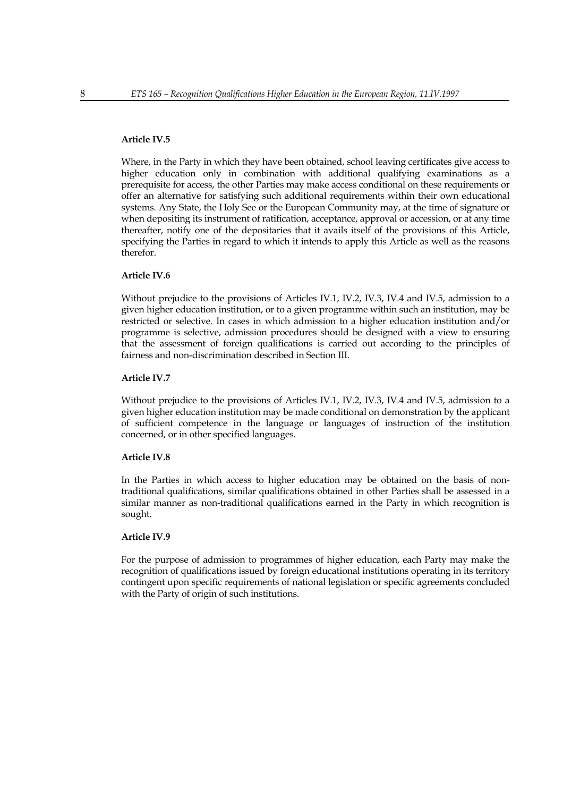# **Article IV.5**

 Where, in the Party in which they have been obtained, school leaving certificates give access to higher education only in combination with additional qualifying examinations as a prerequisite for access, the other Parties may make access conditional on these requirements or offer an alternative for satisfying such additional requirements within their own educational systems. Any State, the Holy See or the European Community may, at the time of signature or when depositing its instrument of ratification, acceptance, approval or accession, or at any time thereafter, notify one of the depositaries that it avails itself of the provisions of this Article, specifying the Parties in regard to which it intends to apply this Article as well as the reasons therefor.

### **Article IV.6**

 Without prejudice to the provisions of Articles IV.1, IV.2, IV.3, IV.4 and IV.5, admission to a given higher education institution, or to a given programme within such an institution, may be restricted or selective. In cases in which admission to a higher education institution and/or programme is selective, admission procedures should be designed with a view to ensuring that the assessment of foreign qualifications is carried out according to the principles of fairness and non-discrimination described in Section III.

# **Article IV.7**

 Without prejudice to the provisions of Articles IV.1, IV.2, IV.3, IV.4 and IV.5, admission to a given higher education institution may be made conditional on demonstration by the applicant of sufficient competence in the language or languages of instruction of the institution concerned, or in other specified languages.

#### **Article IV.8**

 In the Parties in which access to higher education may be obtained on the basis of nontraditional qualifications, similar qualifications obtained in other Parties shall be assessed in a similar manner as non-traditional qualifications earned in the Party in which recognition is sought.

### **Article IV.9**

 For the purpose of admission to programmes of higher education, each Party may make the recognition of qualifications issued by foreign educational institutions operating in its territory contingent upon specific requirements of national legislation or specific agreements concluded with the Party of origin of such institutions.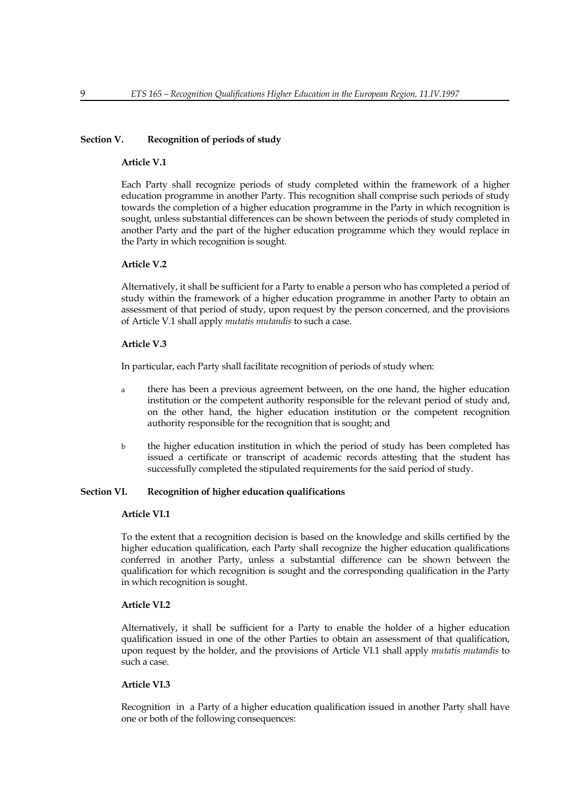# **Section V. Recognition of periods of study**

# **Article V.1**

 Each Party shall recognize periods of study completed within the framework of a higher education programme in another Party. This recognition shall comprise such periods of study towards the completion of a higher education programme in the Party in which recognition is sought, unless substantial differences can be shown between the periods of study completed in another Party and the part of the higher education programme which they would replace in the Party in which recognition is sought.

# **Article V.2**

 Alternatively, it shall be sufficient for a Party to enable a person who has completed a period of study within the framework of a higher education programme in another Party to obtain an assessment of that period of study, upon request by the person concerned, and the provisions of Article V.1 shall apply *mutatis mutandis* to such a case.

# **Article V.3**

In particular, each Party shall facilitate recognition of periods of study when:

- a there has been a previous agreement between, on the one hand, the higher education institution or the competent authority responsible for the relevant period of study and, on the other hand, the higher education institution or the competent recognition authority responsible for the recognition that is sought; and
- b the higher education institution in which the period of study has been completed has issued a certificate or transcript of academic records attesting that the student has successfully completed the stipulated requirements for the said period of study.

# **Section VI. Recognition of higher education qualifications**

# **Article VI.1**

 To the extent that a recognition decision is based on the knowledge and skills certified by the higher education qualification, each Party shall recognize the higher education qualifications conferred in another Party, unless a substantial difference can be shown between the qualification for which recognition is sought and the corresponding qualification in the Party in which recognition is sought.

# **Article VI.2**

 Alternatively, it shall be sufficient for a Party to enable the holder of a higher education qualification issued in one of the other Parties to obtain an assessment of that qualification, upon request by the holder, and the provisions of Article VI.1 shall apply *mutatis mutandis* to such a case.

# **Article VI.3**

 Recognition in a Party of a higher education qualification issued in another Party shall have one or both of the following consequences: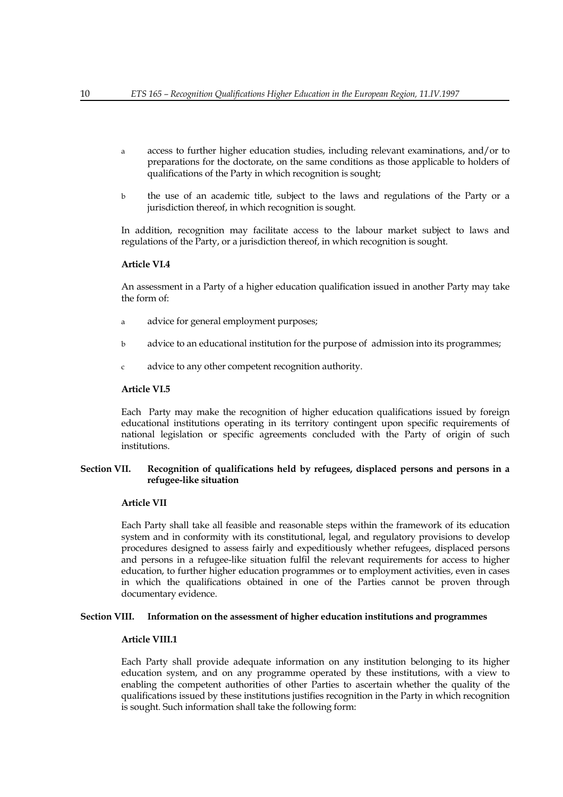- a access to further higher education studies, including relevant examinations, and/or to preparations for the doctorate, on the same conditions as those applicable to holders of qualifications of the Party in which recognition is sought;
- b the use of an academic title, subject to the laws and regulations of the Party or a jurisdiction thereof, in which recognition is sought.

 In addition, recognition may facilitate access to the labour market subject to laws and regulations of the Party, or a jurisdiction thereof, in which recognition is sought.

# **Article VI.4**

 An assessment in a Party of a higher education qualification issued in another Party may take the form of:

- a advice for general employment purposes;
- b advice to an educational institution for the purpose of admission into its programmes;
- c advice to any other competent recognition authority.

# **Article VI.5**

 Each Party may make the recognition of higher education qualifications issued by foreign educational institutions operating in its territory contingent upon specific requirements of national legislation or specific agreements concluded with the Party of origin of such institutions.

# **Section VII. Recognition of qualifications held by refugees, displaced persons and persons in a refugee-like situation**

### **Article VII**

 Each Party shall take all feasible and reasonable steps within the framework of its education system and in conformity with its constitutional, legal, and regulatory provisions to develop procedures designed to assess fairly and expeditiously whether refugees, displaced persons and persons in a refugee-like situation fulfil the relevant requirements for access to higher education, to further higher education programmes or to employment activities, even in cases in which the qualifications obtained in one of the Parties cannot be proven through documentary evidence.

# **Section VIII. Information on the assessment of higher education institutions and programmes**

### **Article VIII.1**

 Each Party shall provide adequate information on any institution belonging to its higher education system, and on any programme operated by these institutions, with a view to enabling the competent authorities of other Parties to ascertain whether the quality of the qualifications issued by these institutions justifies recognition in the Party in which recognition is sought. Such information shall take the following form: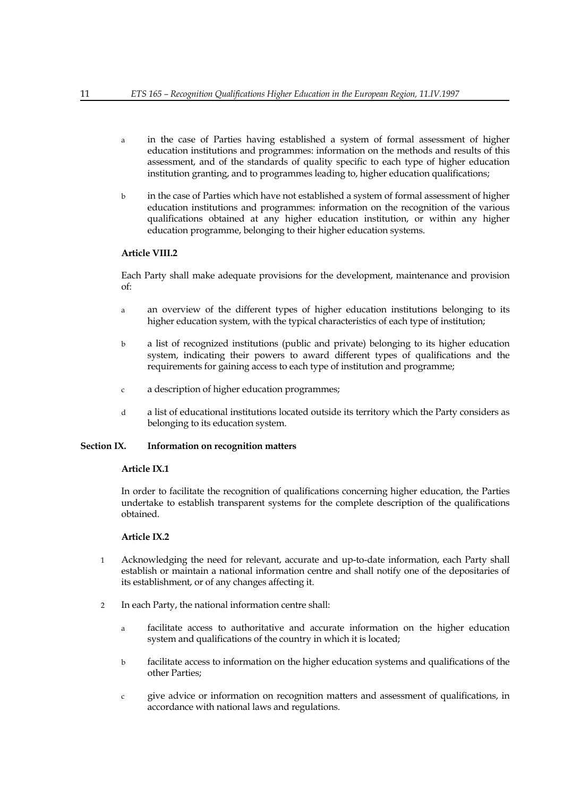- a in the case of Parties having established a system of formal assessment of higher education institutions and programmes: information on the methods and results of this assessment, and of the standards of quality specific to each type of higher education institution granting, and to programmes leading to, higher education qualifications;
- b in the case of Parties which have not established a system of formal assessment of higher education institutions and programmes: information on the recognition of the various qualifications obtained at any higher education institution, or within any higher education programme, belonging to their higher education systems.

# **Article VIII.2**

 Each Party shall make adequate provisions for the development, maintenance and provision of:

- a an overview of the different types of higher education institutions belonging to its higher education system, with the typical characteristics of each type of institution;
- b a list of recognized institutions (public and private) belonging to its higher education system, indicating their powers to award different types of qualifications and the requirements for gaining access to each type of institution and programme;
- c a description of higher education programmes;
- d a list of educational institutions located outside its territory which the Party considers as belonging to its education system.

### **Section IX. Information on recognition matters**

### **Article IX.1**

 In order to facilitate the recognition of qualifications concerning higher education, the Parties undertake to establish transparent systems for the complete description of the qualifications obtained.

# **Article IX.2**

- 1 Acknowledging the need for relevant, accurate and up-to-date information, each Party shall establish or maintain a national information centre and shall notify one of the depositaries of its establishment, or of any changes affecting it.
- 2 In each Party, the national information centre shall:
	- a facilitate access to authoritative and accurate information on the higher education system and qualifications of the country in which it is located;
	- b facilitate access to information on the higher education systems and qualifications of the other Parties;
	- c give advice or information on recognition matters and assessment of qualifications, in accordance with national laws and regulations.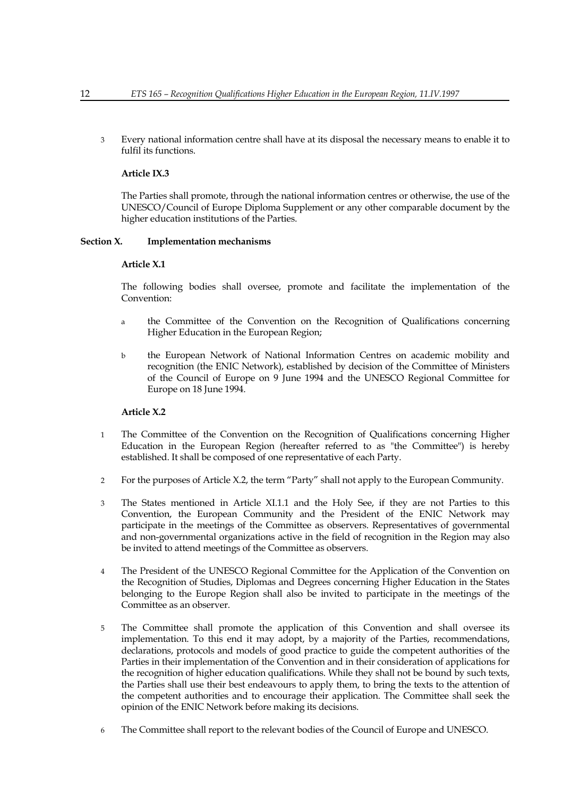3 Every national information centre shall have at its disposal the necessary means to enable it to fulfil its functions.

# **Article IX.3**

 The Parties shall promote, through the national information centres or otherwise, the use of the UNESCO/Council of Europe Diploma Supplement or any other comparable document by the higher education institutions of the Parties.

### **Section X. Implementation mechanisms**

# **Article X.1**

 The following bodies shall oversee, promote and facilitate the implementation of the Convention:

- a the Committee of the Convention on the Recognition of Qualifications concerning Higher Education in the European Region;
- b the European Network of National Information Centres on academic mobility and recognition (the ENIC Network), established by decision of the Committee of Ministers of the Council of Europe on 9 June 1994 and the UNESCO Regional Committee for Europe on 18 June 1994.

# **Article X.2**

- 1 The Committee of the Convention on the Recognition of Qualifications concerning Higher Education in the European Region (hereafter referred to as "the Committee") is hereby established. It shall be composed of one representative of each Party.
- 2 For the purposes of Article X.2, the term "Party" shall not apply to the European Community.
- 3 The States mentioned in Article XI.1.1 and the Holy See, if they are not Parties to this Convention, the European Community and the President of the ENIC Network may participate in the meetings of the Committee as observers. Representatives of governmental and non-governmental organizations active in the field of recognition in the Region may also be invited to attend meetings of the Committee as observers.
- 4 The President of the UNESCO Regional Committee for the Application of the Convention on the Recognition of Studies, Diplomas and Degrees concerning Higher Education in the States belonging to the Europe Region shall also be invited to participate in the meetings of the Committee as an observer.
- 5 The Committee shall promote the application of this Convention and shall oversee its implementation. To this end it may adopt, by a majority of the Parties, recommendations, declarations, protocols and models of good practice to guide the competent authorities of the Parties in their implementation of the Convention and in their consideration of applications for the recognition of higher education qualifications. While they shall not be bound by such texts, the Parties shall use their best endeavours to apply them, to bring the texts to the attention of the competent authorities and to encourage their application. The Committee shall seek the opinion of the ENIC Network before making its decisions.
- 6 The Committee shall report to the relevant bodies of the Council of Europe and UNESCO.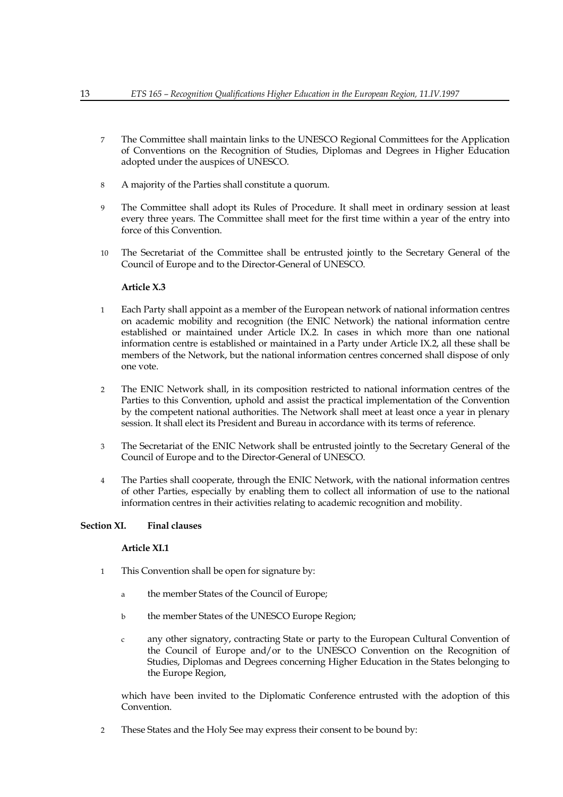- 7 The Committee shall maintain links to the UNESCO Regional Committees for the Application of Conventions on the Recognition of Studies, Diplomas and Degrees in Higher Education adopted under the auspices of UNESCO.
- 8 A majority of the Parties shall constitute a quorum.
- 9 The Committee shall adopt its Rules of Procedure. It shall meet in ordinary session at least every three years. The Committee shall meet for the first time within a year of the entry into force of this Convention.
- 10 The Secretariat of the Committee shall be entrusted jointly to the Secretary General of the Council of Europe and to the Director-General of UNESCO.

# **Article X.3**

- 1 Each Party shall appoint as a member of the European network of national information centres on academic mobility and recognition (the ENIC Network) the national information centre established or maintained under Article IX.2. In cases in which more than one national information centre is established or maintained in a Party under Article IX.2, all these shall be members of the Network, but the national information centres concerned shall dispose of only one vote.
- 2 The ENIC Network shall, in its composition restricted to national information centres of the Parties to this Convention, uphold and assist the practical implementation of the Convention by the competent national authorities. The Network shall meet at least once a year in plenary session. It shall elect its President and Bureau in accordance with its terms of reference.
- 3 The Secretariat of the ENIC Network shall be entrusted jointly to the Secretary General of the Council of Europe and to the Director-General of UNESCO.
- 4 The Parties shall cooperate, through the ENIC Network, with the national information centres of other Parties, especially by enabling them to collect all information of use to the national information centres in their activities relating to academic recognition and mobility.

# **Section XI. Final clauses**

# **Article XI.1**

- 1 This Convention shall be open for signature by:
	- a the member States of the Council of Europe;
	- b the member States of the UNESCO Europe Region;
	- c any other signatory, contracting State or party to the European Cultural Convention of the Council of Europe and/or to the UNESCO Convention on the Recognition of Studies, Diplomas and Degrees concerning Higher Education in the States belonging to the Europe Region,

 which have been invited to the Diplomatic Conference entrusted with the adoption of this Convention.

2 These States and the Holy See may express their consent to be bound by: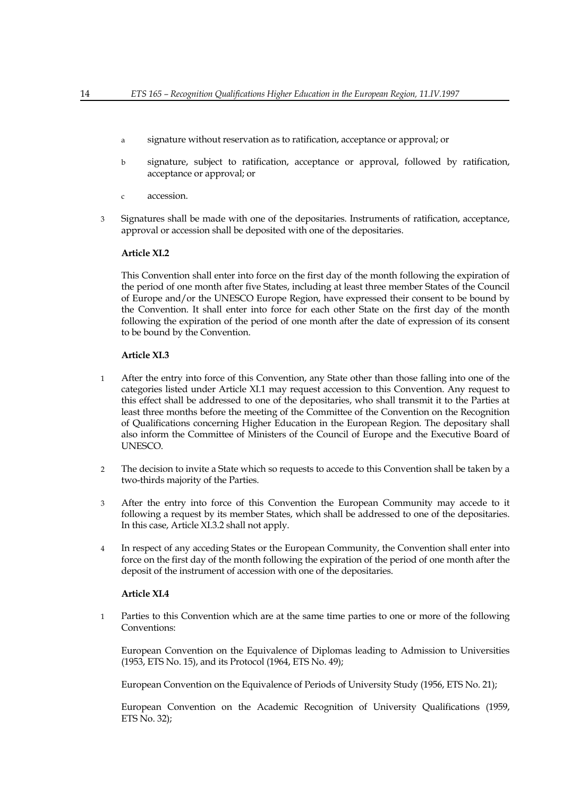- a signature without reservation as to ratification, acceptance or approval; or
- b signature, subject to ratification, acceptance or approval, followed by ratification, acceptance or approval; or
- c accession.
- 3 Signatures shall be made with one of the depositaries. Instruments of ratification, acceptance, approval or accession shall be deposited with one of the depositaries.

# **Article XI.2**

 This Convention shall enter into force on the first day of the month following the expiration of the period of one month after five States, including at least three member States of the Council of Europe and/or the UNESCO Europe Region, have expressed their consent to be bound by the Convention. It shall enter into force for each other State on the first day of the month following the expiration of the period of one month after the date of expression of its consent to be bound by the Convention.

# **Article XI.3**

- 1 After the entry into force of this Convention, any State other than those falling into one of the categories listed under Article XI.1 may request accession to this Convention. Any request to this effect shall be addressed to one of the depositaries, who shall transmit it to the Parties at least three months before the meeting of the Committee of the Convention on the Recognition of Qualifications concerning Higher Education in the European Region. The depositary shall also inform the Committee of Ministers of the Council of Europe and the Executive Board of UNESCO.
- 2 The decision to invite a State which so requests to accede to this Convention shall be taken by a two-thirds majority of the Parties.
- 3 After the entry into force of this Convention the European Community may accede to it following a request by its member States, which shall be addressed to one of the depositaries. In this case, Article XI.3.2 shall not apply.
- 4 In respect of any acceding States or the European Community, the Convention shall enter into force on the first day of the month following the expiration of the period of one month after the deposit of the instrument of accession with one of the depositaries.

### **Article XI.4**

 1 Parties to this Convention which are at the same time parties to one or more of the following Conventions:

 European Convention on the Equivalence of Diplomas leading to Admission to Universities (1953, ETS No. 15), and its Protocol (1964, ETS No. 49);

European Convention on the Equivalence of Periods of University Study (1956, ETS No. 21);

 European Convention on the Academic Recognition of University Qualifications (1959, ETS No. 32);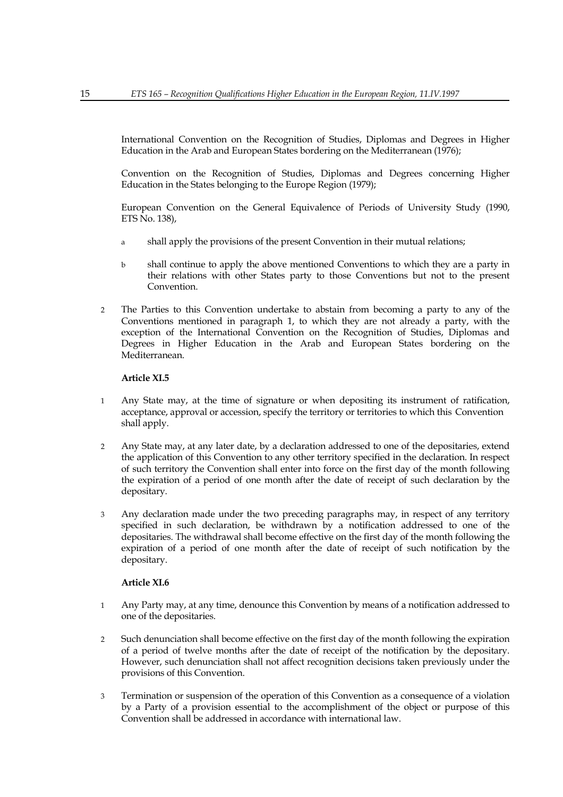International Convention on the Recognition of Studies, Diplomas and Degrees in Higher Education in the Arab and European States bordering on the Mediterranean (1976);

 Convention on the Recognition of Studies, Diplomas and Degrees concerning Higher Education in the States belonging to the Europe Region (1979);

 European Convention on the General Equivalence of Periods of University Study (1990, ETS No. 138),

- a shall apply the provisions of the present Convention in their mutual relations;
- b shall continue to apply the above mentioned Conventions to which they are a party in their relations with other States party to those Conventions but not to the present Convention.
- 2 The Parties to this Convention undertake to abstain from becoming a party to any of the Conventions mentioned in paragraph 1, to which they are not already a party, with the exception of the International Convention on the Recognition of Studies, Diplomas and Degrees in Higher Education in the Arab and European States bordering on the Mediterranean.

# **Article XI.5**

- 1 Any State may, at the time of signature or when depositing its instrument of ratification, acceptance, approval or accession, specify the territory or territories to which this Convention shall apply.
- 2 Any State may, at any later date, by a declaration addressed to one of the depositaries, extend the application of this Convention to any other territory specified in the declaration. In respect of such territory the Convention shall enter into force on the first day of the month following the expiration of a period of one month after the date of receipt of such declaration by the depositary.
- 3 Any declaration made under the two preceding paragraphs may, in respect of any territory specified in such declaration, be withdrawn by a notification addressed to one of the depositaries. The withdrawal shall become effective on the first day of the month following the expiration of a period of one month after the date of receipt of such notification by the depositary.

# **Article XI.6**

- 1 Any Party may, at any time, denounce this Convention by means of a notification addressed to one of the depositaries.
- 2 Such denunciation shall become effective on the first day of the month following the expiration of a period of twelve months after the date of receipt of the notification by the depositary. However, such denunciation shall not affect recognition decisions taken previously under the provisions of this Convention.
- 3 Termination or suspension of the operation of this Convention as a consequence of a violation by a Party of a provision essential to the accomplishment of the object or purpose of this Convention shall be addressed in accordance with international law.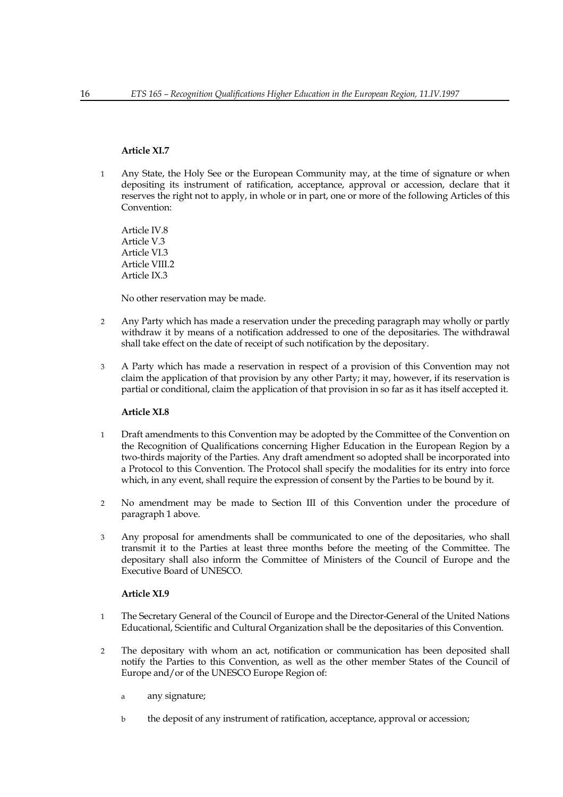# **Article XI.7**

 1 Any State, the Holy See or the European Community may, at the time of signature or when depositing its instrument of ratification, acceptance, approval or accession, declare that it reserves the right not to apply, in whole or in part, one or more of the following Articles of this Convention:

 Article IV.8 Article V.3 Article VI.3 Article VIII.2 Article IX.3

No other reservation may be made.

- 2 Any Party which has made a reservation under the preceding paragraph may wholly or partly withdraw it by means of a notification addressed to one of the depositaries. The withdrawal shall take effect on the date of receipt of such notification by the depositary.
- 3 A Party which has made a reservation in respect of a provision of this Convention may not claim the application of that provision by any other Party; it may, however, if its reservation is partial or conditional, claim the application of that provision in so far as it has itself accepted it.

# **Article XI.8**

- 1 Draft amendments to this Convention may be adopted by the Committee of the Convention on the Recognition of Qualifications concerning Higher Education in the European Region by a two-thirds majority of the Parties. Any draft amendment so adopted shall be incorporated into a Protocol to this Convention. The Protocol shall specify the modalities for its entry into force which, in any event, shall require the expression of consent by the Parties to be bound by it.
- 2 No amendment may be made to Section III of this Convention under the procedure of paragraph 1 above.
- 3 Any proposal for amendments shall be communicated to one of the depositaries, who shall transmit it to the Parties at least three months before the meeting of the Committee. The depositary shall also inform the Committee of Ministers of the Council of Europe and the Executive Board of UNESCO.

### **Article XI.9**

- 1 The Secretary General of the Council of Europe and the Director-General of the United Nations Educational, Scientific and Cultural Organization shall be the depositaries of this Convention.
- 2 The depositary with whom an act, notification or communication has been deposited shall notify the Parties to this Convention, as well as the other member States of the Council of Europe and/or of the UNESCO Europe Region of:
	- a any signature;
	- b the deposit of any instrument of ratification, acceptance, approval or accession;